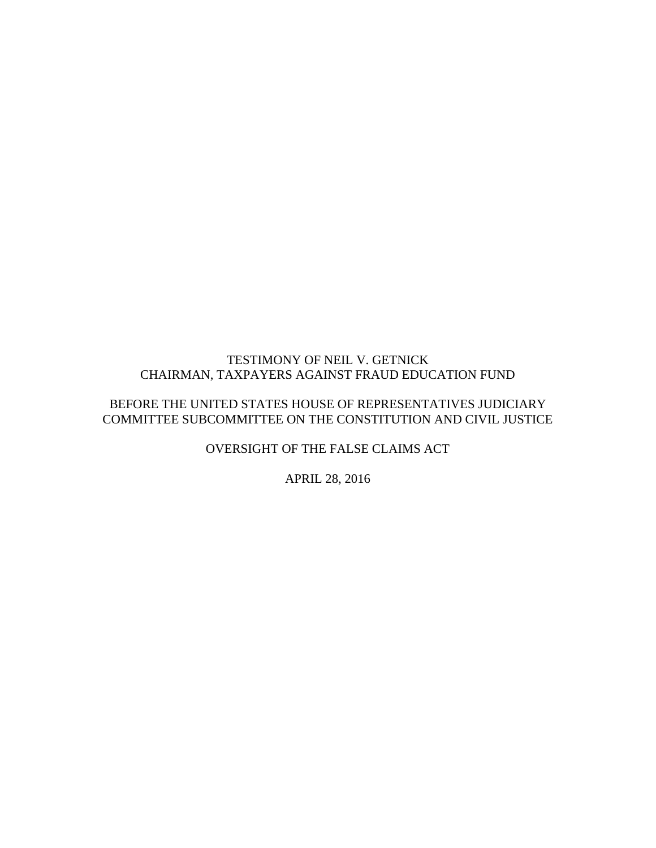### TESTIMONY OF NEIL V. GETNICK CHAIRMAN, TAXPAYERS AGAINST FRAUD EDUCATION FUND

## BEFORE THE UNITED STATES HOUSE OF REPRESENTATIVES JUDICIARY COMMITTEE SUBCOMMITTEE ON THE CONSTITUTION AND CIVIL JUSTICE

OVERSIGHT OF THE FALSE CLAIMS ACT

APRIL 28, 2016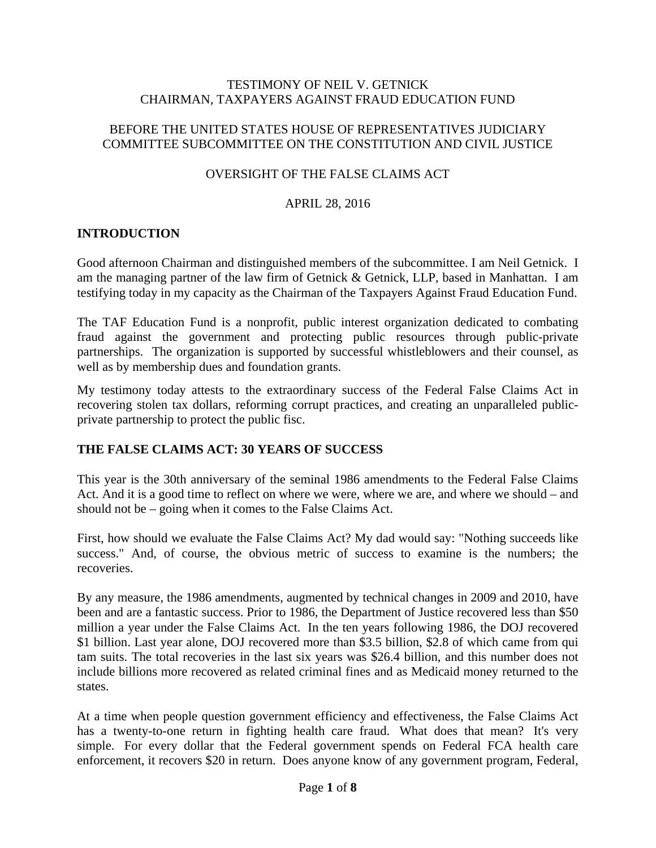#### TESTIMONY OF NEIL V. GETNICK CHAIRMAN, TAXPAYERS AGAINST FRAUD EDUCATION FUND

## BEFORE THE UNITED STATES HOUSE OF REPRESENTATIVES JUDICIARY COMMITTEE SUBCOMMITTEE ON THE CONSTITUTION AND CIVIL JUSTICE

## OVERSIGHT OF THE FALSE CLAIMS ACT

#### APRIL 28, 2016

### **INTRODUCTION**

Good afternoon Chairman and distinguished members of the subcommittee. I am Neil Getnick. I am the managing partner of the law firm of Getnick & Getnick, LLP, based in Manhattan. I am testifying today in my capacity as the Chairman of the Taxpayers Against Fraud Education Fund.

The TAF Education Fund is a nonprofit, public interest organization dedicated to combating fraud against the government and protecting public resources through public-private partnerships. The organization is supported by successful whistleblowers and their counsel, as well as by membership dues and foundation grants.

My testimony today attests to the extraordinary success of the Federal False Claims Act in recovering stolen tax dollars, reforming corrupt practices, and creating an unparalleled publicprivate partnership to protect the public fisc.

### **THE FALSE CLAIMS ACT: 30 YEARS OF SUCCESS**

This year is the 30th anniversary of the seminal 1986 amendments to the Federal False Claims Act. And it is a good time to reflect on where we were, where we are, and where we should – and should not be – going when it comes to the False Claims Act.

First, how should we evaluate the False Claims Act? My dad would say: "Nothing succeeds like success." And, of course, the obvious metric of success to examine is the numbers; the recoveries.

By any measure, the 1986 amendments, augmented by technical changes in 2009 and 2010, have been and are a fantastic success. Prior to 1986, the Department of Justice recovered less than \$50 million a year under the False Claims Act. In the ten years following 1986, the DOJ recovered \$1 billion. Last year alone, DOJ recovered more than \$3.5 billion, \$2.8 of which came from qui tam suits. The total recoveries in the last six years was \$26.4 billion, and this number does not include billions more recovered as related criminal fines and as Medicaid money returned to the states.

At a time when people question government efficiency and effectiveness, the False Claims Act has a twenty-to-one return in fighting health care fraud. What does that mean? It's very simple. For every dollar that the Federal government spends on Federal FCA health care enforcement, it recovers \$20 in return. Does anyone know of any government program, Federal,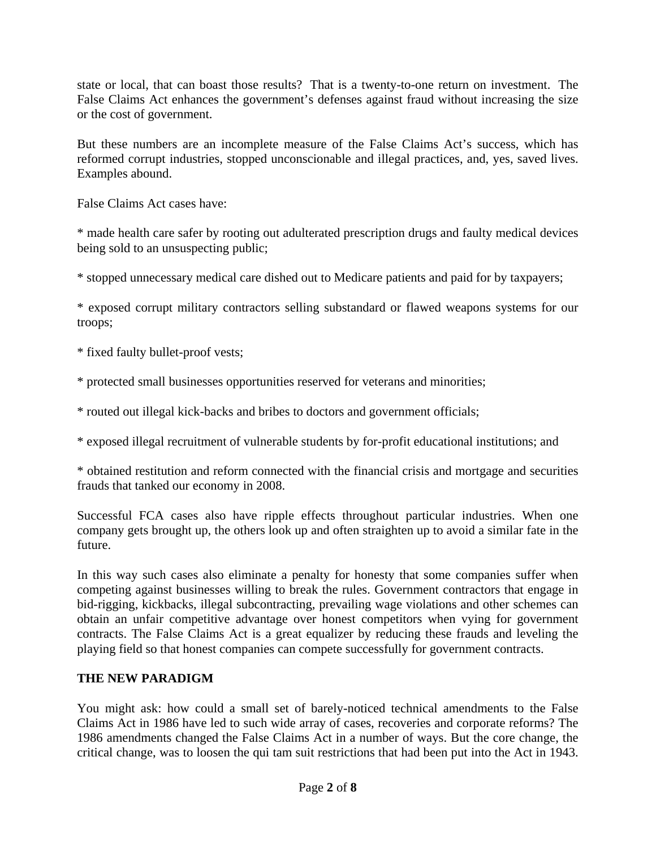state or local, that can boast those results? That is a twenty-to-one return on investment. The False Claims Act enhances the government's defenses against fraud without increasing the size or the cost of government.

But these numbers are an incomplete measure of the False Claims Act's success, which has reformed corrupt industries, stopped unconscionable and illegal practices, and, yes, saved lives. Examples abound.

False Claims Act cases have:

\* made health care safer by rooting out adulterated prescription drugs and faulty medical devices being sold to an unsuspecting public;

\* stopped unnecessary medical care dished out to Medicare patients and paid for by taxpayers;

\* exposed corrupt military contractors selling substandard or flawed weapons systems for our troops;

\* fixed faulty bullet-proof vests;

\* protected small businesses opportunities reserved for veterans and minorities;

\* routed out illegal kick-backs and bribes to doctors and government officials;

\* exposed illegal recruitment of vulnerable students by for-profit educational institutions; and

\* obtained restitution and reform connected with the financial crisis and mortgage and securities frauds that tanked our economy in 2008.

Successful FCA cases also have ripple effects throughout particular industries. When one company gets brought up, the others look up and often straighten up to avoid a similar fate in the future.

In this way such cases also eliminate a penalty for honesty that some companies suffer when competing against businesses willing to break the rules. Government contractors that engage in bid-rigging, kickbacks, illegal subcontracting, prevailing wage violations and other schemes can obtain an unfair competitive advantage over honest competitors when vying for government contracts. The False Claims Act is a great equalizer by reducing these frauds and leveling the playing field so that honest companies can compete successfully for government contracts.

## **THE NEW PARADIGM**

You might ask: how could a small set of barely-noticed technical amendments to the False Claims Act in 1986 have led to such wide array of cases, recoveries and corporate reforms? The 1986 amendments changed the False Claims Act in a number of ways. But the core change, the critical change, was to loosen the qui tam suit restrictions that had been put into the Act in 1943.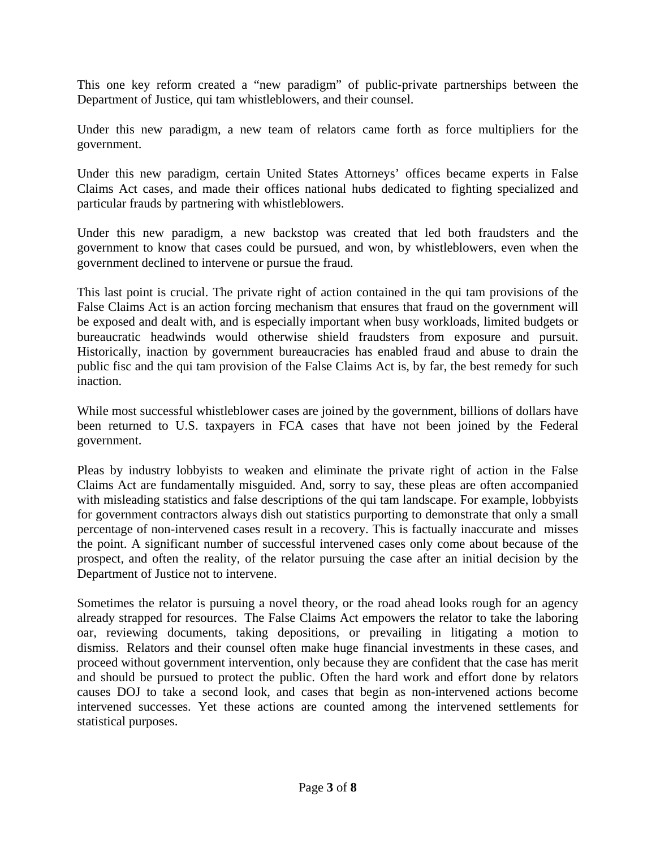This one key reform created a "new paradigm" of public-private partnerships between the Department of Justice, qui tam whistleblowers, and their counsel.

Under this new paradigm, a new team of relators came forth as force multipliers for the government.

Under this new paradigm, certain United States Attorneys' offices became experts in False Claims Act cases, and made their offices national hubs dedicated to fighting specialized and particular frauds by partnering with whistleblowers.

Under this new paradigm, a new backstop was created that led both fraudsters and the government to know that cases could be pursued, and won, by whistleblowers, even when the government declined to intervene or pursue the fraud.

This last point is crucial. The private right of action contained in the qui tam provisions of the False Claims Act is an action forcing mechanism that ensures that fraud on the government will be exposed and dealt with, and is especially important when busy workloads, limited budgets or bureaucratic headwinds would otherwise shield fraudsters from exposure and pursuit. Historically, inaction by government bureaucracies has enabled fraud and abuse to drain the public fisc and the qui tam provision of the False Claims Act is, by far, the best remedy for such inaction.

While most successful whistleblower cases are joined by the government, billions of dollars have been returned to U.S. taxpayers in FCA cases that have not been joined by the Federal government.

Pleas by industry lobbyists to weaken and eliminate the private right of action in the False Claims Act are fundamentally misguided. And, sorry to say, these pleas are often accompanied with misleading statistics and false descriptions of the qui tam landscape. For example, lobbyists for government contractors always dish out statistics purporting to demonstrate that only a small percentage of non-intervened cases result in a recovery. This is factually inaccurate and misses the point. A significant number of successful intervened cases only come about because of the prospect, and often the reality, of the relator pursuing the case after an initial decision by the Department of Justice not to intervene.

Sometimes the relator is pursuing a novel theory, or the road ahead looks rough for an agency already strapped for resources. The False Claims Act empowers the relator to take the laboring oar, reviewing documents, taking depositions, or prevailing in litigating a motion to dismiss. Relators and their counsel often make huge financial investments in these cases, and proceed without government intervention, only because they are confident that the case has merit and should be pursued to protect the public. Often the hard work and effort done by relators causes DOJ to take a second look, and cases that begin as non-intervened actions become intervened successes. Yet these actions are counted among the intervened settlements for statistical purposes.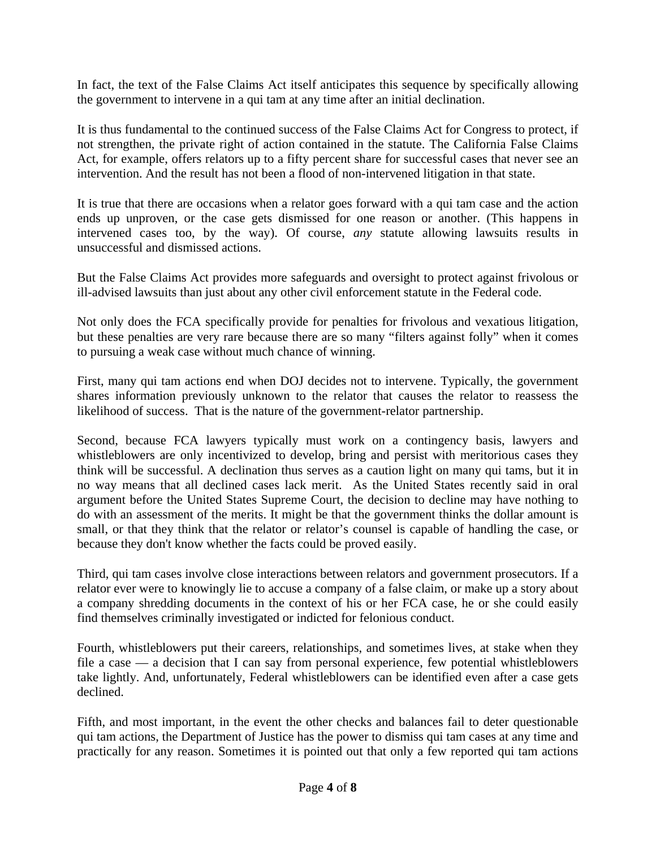In fact, the text of the False Claims Act itself anticipates this sequence by specifically allowing the government to intervene in a qui tam at any time after an initial declination.

It is thus fundamental to the continued success of the False Claims Act for Congress to protect, if not strengthen, the private right of action contained in the statute. The California False Claims Act, for example, offers relators up to a fifty percent share for successful cases that never see an intervention. And the result has not been a flood of non-intervened litigation in that state.

It is true that there are occasions when a relator goes forward with a qui tam case and the action ends up unproven, or the case gets dismissed for one reason or another. (This happens in intervened cases too, by the way). Of course, *any* statute allowing lawsuits results in unsuccessful and dismissed actions.

But the False Claims Act provides more safeguards and oversight to protect against frivolous or ill-advised lawsuits than just about any other civil enforcement statute in the Federal code.

Not only does the FCA specifically provide for penalties for frivolous and vexatious litigation, but these penalties are very rare because there are so many "filters against folly" when it comes to pursuing a weak case without much chance of winning.

First, many qui tam actions end when DOJ decides not to intervene. Typically, the government shares information previously unknown to the relator that causes the relator to reassess the likelihood of success. That is the nature of the government-relator partnership.

Second, because FCA lawyers typically must work on a contingency basis, lawyers and whistleblowers are only incentivized to develop, bring and persist with meritorious cases they think will be successful. A declination thus serves as a caution light on many qui tams, but it in no way means that all declined cases lack merit. As the United States recently said in oral argument before the United States Supreme Court, the decision to decline may have nothing to do with an assessment of the merits. It might be that the government thinks the dollar amount is small, or that they think that the relator or relator's counsel is capable of handling the case, or because they don't know whether the facts could be proved easily.

Third, qui tam cases involve close interactions between relators and government prosecutors. If a relator ever were to knowingly lie to accuse a company of a false claim, or make up a story about a company shredding documents in the context of his or her FCA case, he or she could easily find themselves criminally investigated or indicted for felonious conduct.

Fourth, whistleblowers put their careers, relationships, and sometimes lives, at stake when they file a case — a decision that I can say from personal experience, few potential whistleblowers take lightly. And, unfortunately, Federal whistleblowers can be identified even after a case gets declined.

Fifth, and most important, in the event the other checks and balances fail to deter questionable qui tam actions, the Department of Justice has the power to dismiss qui tam cases at any time and practically for any reason. Sometimes it is pointed out that only a few reported qui tam actions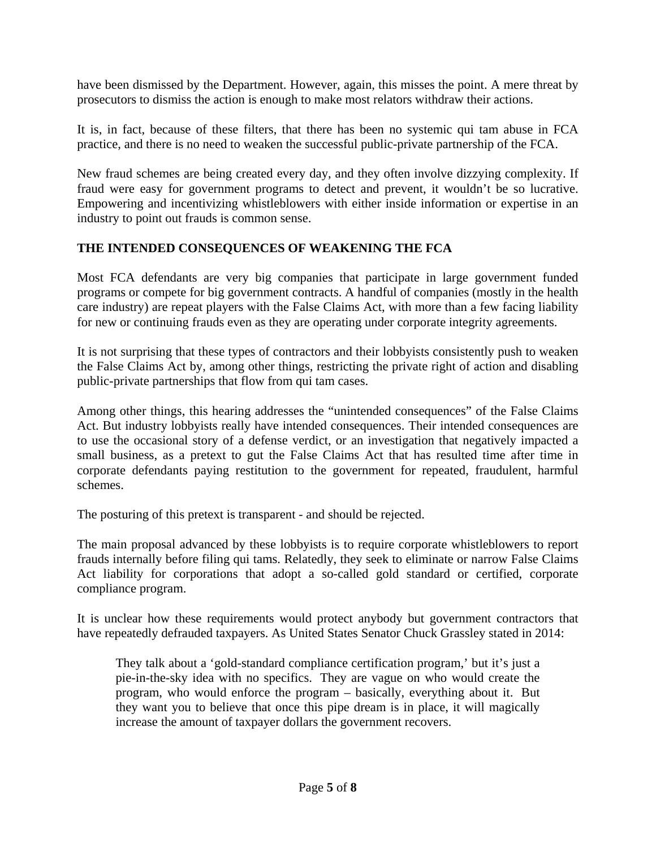have been dismissed by the Department. However, again, this misses the point. A mere threat by prosecutors to dismiss the action is enough to make most relators withdraw their actions.

It is, in fact, because of these filters, that there has been no systemic qui tam abuse in FCA practice, and there is no need to weaken the successful public-private partnership of the FCA.

New fraud schemes are being created every day, and they often involve dizzying complexity. If fraud were easy for government programs to detect and prevent, it wouldn't be so lucrative. Empowering and incentivizing whistleblowers with either inside information or expertise in an industry to point out frauds is common sense.

### **THE INTENDED CONSEQUENCES OF WEAKENING THE FCA**

Most FCA defendants are very big companies that participate in large government funded programs or compete for big government contracts. A handful of companies (mostly in the health care industry) are repeat players with the False Claims Act, with more than a few facing liability for new or continuing frauds even as they are operating under corporate integrity agreements.

It is not surprising that these types of contractors and their lobbyists consistently push to weaken the False Claims Act by, among other things, restricting the private right of action and disabling public-private partnerships that flow from qui tam cases.

Among other things, this hearing addresses the "unintended consequences" of the False Claims Act. But industry lobbyists really have intended consequences. Their intended consequences are to use the occasional story of a defense verdict, or an investigation that negatively impacted a small business, as a pretext to gut the False Claims Act that has resulted time after time in corporate defendants paying restitution to the government for repeated, fraudulent, harmful schemes.

The posturing of this pretext is transparent - and should be rejected.

The main proposal advanced by these lobbyists is to require corporate whistleblowers to report frauds internally before filing qui tams. Relatedly, they seek to eliminate or narrow False Claims Act liability for corporations that adopt a so-called gold standard or certified, corporate compliance program.

It is unclear how these requirements would protect anybody but government contractors that have repeatedly defrauded taxpayers. As United States Senator Chuck Grassley stated in 2014:

They talk about a 'gold-standard compliance certification program,' but it's just a pie-in-the-sky idea with no specifics. They are vague on who would create the program, who would enforce the program – basically, everything about it. But they want you to believe that once this pipe dream is in place, it will magically increase the amount of taxpayer dollars the government recovers.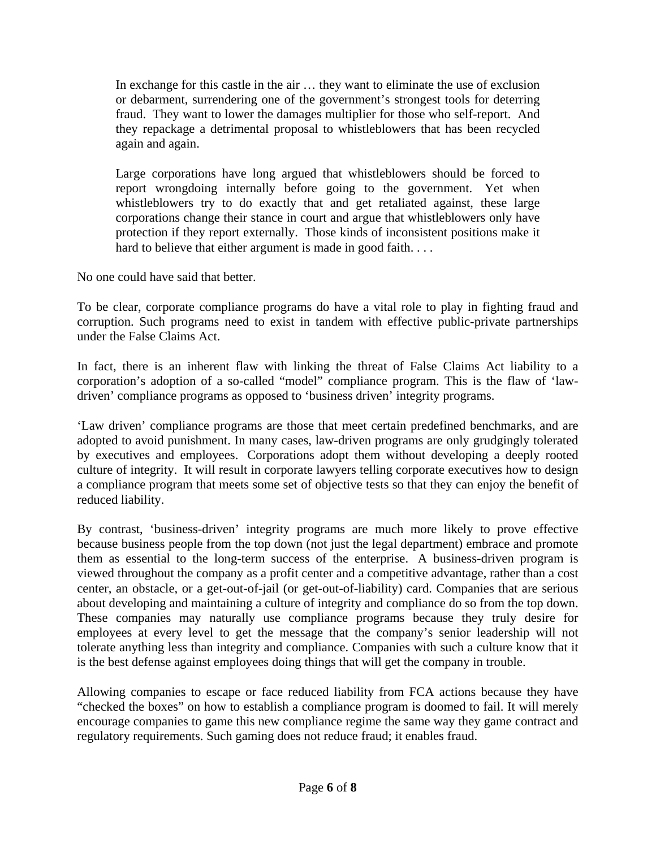In exchange for this castle in the air … they want to eliminate the use of exclusion or debarment, surrendering one of the government's strongest tools for deterring fraud. They want to lower the damages multiplier for those who self-report. And they repackage a detrimental proposal to whistleblowers that has been recycled again and again.

Large corporations have long argued that whistleblowers should be forced to report wrongdoing internally before going to the government. Yet when whistleblowers try to do exactly that and get retaliated against, these large corporations change their stance in court and argue that whistleblowers only have protection if they report externally. Those kinds of inconsistent positions make it hard to believe that either argument is made in good faith. . . .

No one could have said that better.

To be clear, corporate compliance programs do have a vital role to play in fighting fraud and corruption. Such programs need to exist in tandem with effective public-private partnerships under the False Claims Act.

In fact, there is an inherent flaw with linking the threat of False Claims Act liability to a corporation's adoption of a so-called "model" compliance program. This is the flaw of 'lawdriven' compliance programs as opposed to 'business driven' integrity programs.

'Law driven' compliance programs are those that meet certain predefined benchmarks, and are adopted to avoid punishment. In many cases, law-driven programs are only grudgingly tolerated by executives and employees. Corporations adopt them without developing a deeply rooted culture of integrity. It will result in corporate lawyers telling corporate executives how to design a compliance program that meets some set of objective tests so that they can enjoy the benefit of reduced liability.

By contrast, 'business-driven' integrity programs are much more likely to prove effective because business people from the top down (not just the legal department) embrace and promote them as essential to the long-term success of the enterprise. A business-driven program is viewed throughout the company as a profit center and a competitive advantage, rather than a cost center, an obstacle, or a get-out-of-jail (or get-out-of-liability) card. Companies that are serious about developing and maintaining a culture of integrity and compliance do so from the top down. These companies may naturally use compliance programs because they truly desire for employees at every level to get the message that the company's senior leadership will not tolerate anything less than integrity and compliance. Companies with such a culture know that it is the best defense against employees doing things that will get the company in trouble.

Allowing companies to escape or face reduced liability from FCA actions because they have "checked the boxes" on how to establish a compliance program is doomed to fail. It will merely encourage companies to game this new compliance regime the same way they game contract and regulatory requirements. Such gaming does not reduce fraud; it enables fraud.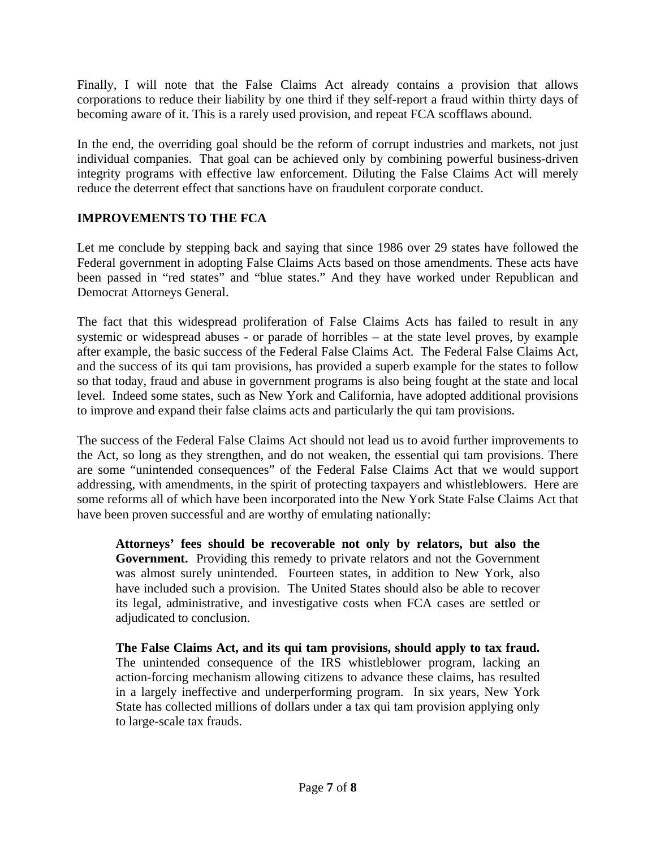Finally, I will note that the False Claims Act already contains a provision that allows corporations to reduce their liability by one third if they self-report a fraud within thirty days of becoming aware of it. This is a rarely used provision, and repeat FCA scofflaws abound.

In the end, the overriding goal should be the reform of corrupt industries and markets, not just individual companies. That goal can be achieved only by combining powerful business-driven integrity programs with effective law enforcement. Diluting the False Claims Act will merely reduce the deterrent effect that sanctions have on fraudulent corporate conduct.

# **IMPROVEMENTS TO THE FCA**

Let me conclude by stepping back and saying that since 1986 over 29 states have followed the Federal government in adopting False Claims Acts based on those amendments. These acts have been passed in "red states" and "blue states." And they have worked under Republican and Democrat Attorneys General.

The fact that this widespread proliferation of False Claims Acts has failed to result in any systemic or widespread abuses - or parade of horribles – at the state level proves, by example after example, the basic success of the Federal False Claims Act. The Federal False Claims Act, and the success of its qui tam provisions, has provided a superb example for the states to follow so that today, fraud and abuse in government programs is also being fought at the state and local level. Indeed some states, such as New York and California, have adopted additional provisions to improve and expand their false claims acts and particularly the qui tam provisions.

The success of the Federal False Claims Act should not lead us to avoid further improvements to the Act, so long as they strengthen, and do not weaken, the essential qui tam provisions. There are some "unintended consequences" of the Federal False Claims Act that we would support addressing, with amendments, in the spirit of protecting taxpayers and whistleblowers. Here are some reforms all of which have been incorporated into the New York State False Claims Act that have been proven successful and are worthy of emulating nationally:

**Attorneys' fees should be recoverable not only by relators, but also the Government.** Providing this remedy to private relators and not the Government was almost surely unintended. Fourteen states, in addition to New York, also have included such a provision. The United States should also be able to recover its legal, administrative, and investigative costs when FCA cases are settled or adjudicated to conclusion.

**The False Claims Act, and its qui tam provisions, should apply to tax fraud.**  The unintended consequence of the IRS whistleblower program, lacking an action-forcing mechanism allowing citizens to advance these claims, has resulted in a largely ineffective and underperforming program. In six years, New York State has collected millions of dollars under a tax qui tam provision applying only to large-scale tax frauds.